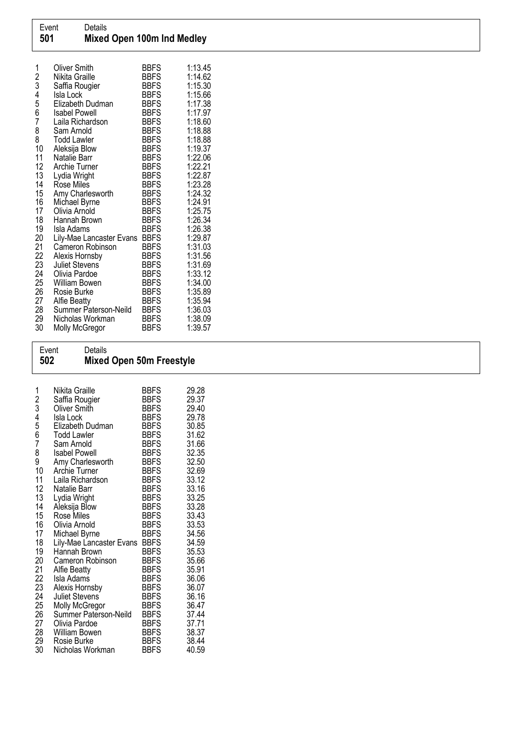| 1<br>23456 | Oliver Smith<br>Nikita Graille<br>Saffia Rougier<br>Isla Lock<br>Elizabeth Dudman | <b>BBFS</b><br><b>BBFS</b><br><b>BBFS</b><br><b>BBFS</b><br><b>BBFS</b> | 1:13.45<br>1:14.62<br>1:15.30<br>1:15.66<br>1:17.38 |
|------------|-----------------------------------------------------------------------------------|-------------------------------------------------------------------------|-----------------------------------------------------|
| 7          | Isabel Powell<br>Laila Richardson                                                 | <b>BBFS</b><br><b>BBFS</b>                                              | 1:17.97<br>1:18.60                                  |
| 8          | Sam Arnold                                                                        | <b>BBFS</b>                                                             | 1:18.88                                             |
| 8          | <b>Todd Lawler</b>                                                                | <b>BBFS</b>                                                             | 1:18.88                                             |
| 10<br>11   | Aleksija Blow<br>Natalie Barr                                                     | <b>BBFS</b><br><b>BBFS</b>                                              | 1:19.37<br>1:22.06                                  |
| 12         | Archie Turner                                                                     | <b>BBFS</b>                                                             | 1:22.21                                             |
| 13<br>14   | Lydia Wright<br>Rose Miles                                                        | <b>BBFS</b><br><b>BBFS</b>                                              | 1:22.87<br>1:23.28                                  |
| 15         | Amy Charlesworth                                                                  | <b>BBFS</b>                                                             | 1:24.32                                             |
| 16         | Michael Byrne                                                                     | <b>BBFS</b>                                                             | 1:24.91                                             |
| 17<br>18   | Olivia Arnold<br>Hannah Brown                                                     | <b>BBFS</b><br><b>BBFS</b>                                              | 1:25.75<br>1:26.34                                  |
| 19         | Isla Adams                                                                        | <b>BBFS</b>                                                             | 1:26.38                                             |
| 20         | Lily-Mae Lancaster Evans                                                          | <b>BBFS</b>                                                             | 1:29.87                                             |
| 21<br>22   | Cameron Robinson<br>Alexis Hornsby                                                | <b>BBFS</b><br><b>BBFS</b>                                              | 1:31.03<br>1:31.56                                  |
| 23         | Juliet Stevens                                                                    | <b>BBFS</b>                                                             | 1:31.69                                             |
| 24         | Olivia Pardoe                                                                     | <b>BBFS</b>                                                             | 1:33.12                                             |
| 25<br>26   | William Bowen<br>Rosie Burke                                                      | <b>BBFS</b><br><b>BBFS</b>                                              | 1:34.00<br>1:35.89                                  |
| 27         | <b>Alfie Beatty</b>                                                               | <b>BBFS</b>                                                             | 1:35.94                                             |
| 28         | Summer Paterson-Neild                                                             | <b>BBFS</b>                                                             | 1:36.03                                             |
| 29<br>30   | Nicholas Workman<br>Molly McGregor                                                | <b>BBFS</b><br><b>BBFS</b>                                              | 1:38.09<br>1:39.57                                  |
|            |                                                                                   |                                                                         |                                                     |

## Event Details<br>502 Mixed **Mixed Open 50m Freestyle**

| 1              | Nikita Graille                            | <b>BBFS</b>         | 29.28          |
|----------------|-------------------------------------------|---------------------|----------------|
|                | Saffia Rougier                            | <b>BBFS</b>         | 29.37          |
| 2<br>3<br>4    | Oliver Smith                              | BBFS                | 29.40          |
|                | Isla Lock                                 | <b>BBFS</b>         | 29.78          |
| 5              | Elizabeth Dudman                          | <b>BBFS</b>         | 30.85          |
| $\overline{6}$ | <b>Todd Lawler</b>                        | <b>BBFS</b>         | 31.62          |
| 7              | Sam Arnold                                | BBFS                | 31.66          |
| 8              | <b>Isabel Powell</b>                      | <b>BBFS</b>         | 32.35          |
| 9              | Amy Charlesworth                          | BBFS                | 32.50          |
| 10             | Archie Turner                             | <b>BBFS</b>         | 32.69          |
| 11             | Laila Richardson                          | <b>BBFS</b>         | 33.12          |
| 12             | Natalie Barr                              | <b>BBFS</b>         | 33.16          |
| 13             | Lydia Wright                              | BBFS                | 33.25          |
| 14             | Aleksija Blow                             | <b>BBFS</b>         | 33.28          |
| 15             | Rose Miles                                | <b>BBFS</b>         | 33.43          |
| 16<br>17       | Olivia Arnold                             | BBFS<br><b>BBFS</b> | 33.53<br>34.56 |
| 18             | Michael Byrne<br>Lily-Mae Lancaster Evans | <b>BBFS</b>         | 34.59          |
| 19             | Hannah Brown                              | <b>BBFS</b>         | 35.53          |
| 20             | Cameron Robinson                          | BBFS                | 35.66          |
| 21             | Alfie Beatty                              | <b>BBFS</b>         | 35.91          |
| 22             | Isla Adams                                | <b>BBFS</b>         | 36.06          |
| 23             | Alexis Hornsby                            | <b>BBFS</b>         | 36.07          |
| 24             | <b>Juliet Stevens</b>                     | <b>BBFS</b>         | 36.16          |
| 25             | Molly McGregor                            | <b>BBFS</b>         | 36.47          |
| 26             | Summer Paterson-Neild                     | BBFS                | 37.44          |
| 27             | Olivia Pardoe                             | <b>BBFS</b>         | 37.71          |
| 28             | William Bowen                             | BBFS                | 38.37          |
| 29             | Rosie Burke                               | BBFS                | 38.44          |
| 30             | Nicholas Workman                          | BBFS                | 40.59          |